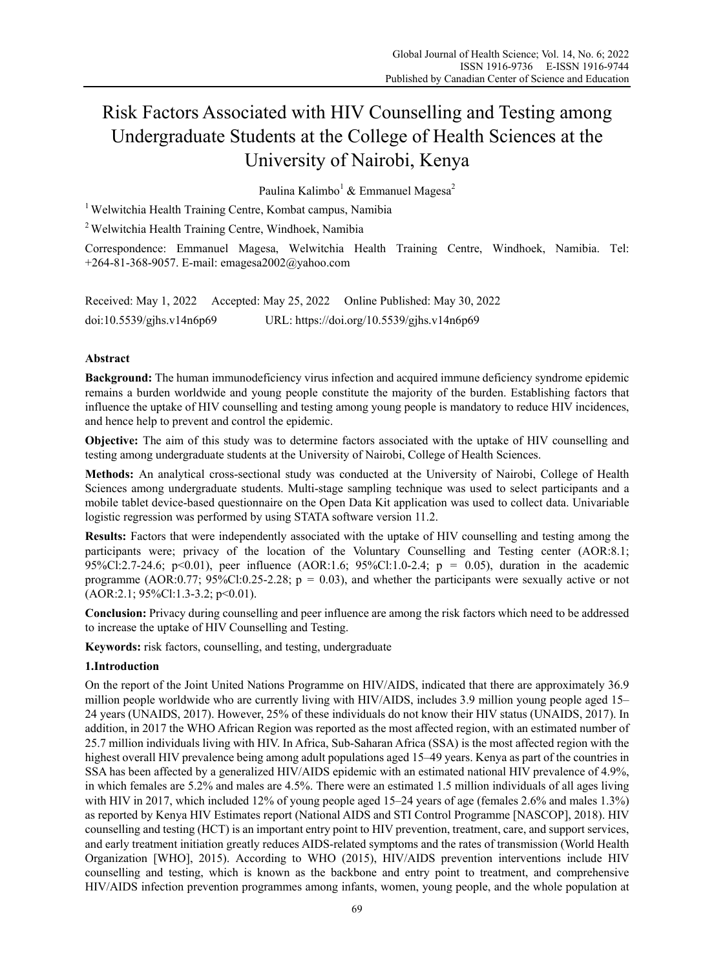# Risk Factors Associated with HIV Counselling and Testing among Undergraduate Students at the College of Health Sciences at the University of Nairobi, Kenya

Paulina Kalimbo<sup>1</sup> & Emmanuel Magesa<sup>2</sup>

<sup>1</sup> Welwitchia Health Training Centre, Kombat campus, Namibia

2 Welwitchia Health Training Centre, Windhoek, Namibia

Correspondence: Emmanuel Magesa, Welwitchia Health Training Centre, Windhoek, Namibia. Tel: +264-81-368-9057. E-mail: emagesa2002@yahoo.com

Received: May 1, 2022 Accepted: May 25, 2022 Online Published: May 30, 2022 doi:10.5539/gjhs.v14n6p69 URL: https://doi.org/10.5539/gjhs.v14n6p69

## **Abstract**

**Background:** The human immunodeficiency virus infection and acquired immune deficiency syndrome epidemic remains a burden worldwide and young people constitute the majority of the burden. Establishing factors that influence the uptake of HIV counselling and testing among young people is mandatory to reduce HIV incidences, and hence help to prevent and control the epidemic.

**Objective:** The aim of this study was to determine factors associated with the uptake of HIV counselling and testing among undergraduate students at the University of Nairobi, College of Health Sciences.

**Methods:** An analytical cross-sectional study was conducted at the University of Nairobi, College of Health Sciences among undergraduate students. Multi-stage sampling technique was used to select participants and a mobile tablet device-based questionnaire on the Open Data Kit application was used to collect data. Univariable logistic regression was performed by using STATA software version 11.2.

**Results:** Factors that were independently associated with the uptake of HIV counselling and testing among the participants were; privacy of the location of the Voluntary Counselling and Testing center (AOR:8.1; 95%Cl:2.7-24.6; p<0.01), peer influence (AOR:1.6; 95%Cl:1.0-2.4; p = 0.05), duration in the academic programme (AOR:0.77;  $95\%$ Cl:0.25-2.28; p = 0.03), and whether the participants were sexually active or not (AOR:2.1; 95%Cl:1.3-3.2; p<0.01).

**Conclusion:** Privacy during counselling and peer influence are among the risk factors which need to be addressed to increase the uptake of HIV Counselling and Testing.

**Keywords:** risk factors, counselling, and testing, undergraduate

## **1.Introduction**

On the report of the Joint United Nations Programme on HIV/AIDS, indicated that there are approximately 36.9 million people worldwide who are currently living with HIV/AIDS, includes 3.9 million young people aged 15– 24 years (UNAIDS, 2017). However, 25% of these individuals do not know their HIV status (UNAIDS, 2017). In addition, in 2017 the WHO African Region was reported as the most affected region, with an estimated number of 25.7 million individuals living with HIV. In Africa, Sub-Saharan Africa (SSA) is the most affected region with the highest overall HIV prevalence being among adult populations aged 15–49 years. Kenya as part of the countries in SSA has been affected by a generalized HIV/AIDS epidemic with an estimated national HIV prevalence of 4.9%, in which females are 5.2% and males are 4.5%. There were an estimated 1.5 million individuals of all ages living with HIV in 2017, which included 12% of young people aged 15–24 years of age (females 2.6% and males 1.3%) as reported by Kenya HIV Estimates report (National AIDS and STI Control Programme [NASCOP], 2018). HIV counselling and testing (HCT) is an important entry point to HIV prevention, treatment, care, and support services, and early treatment initiation greatly reduces AIDS-related symptoms and the rates of transmission (World Health Organization [WHO], 2015). According to WHO (2015), HIV/AIDS prevention interventions include HIV counselling and testing, which is known as the backbone and entry point to treatment, and comprehensive HIV/AIDS infection prevention programmes among infants, women, young people, and the whole population at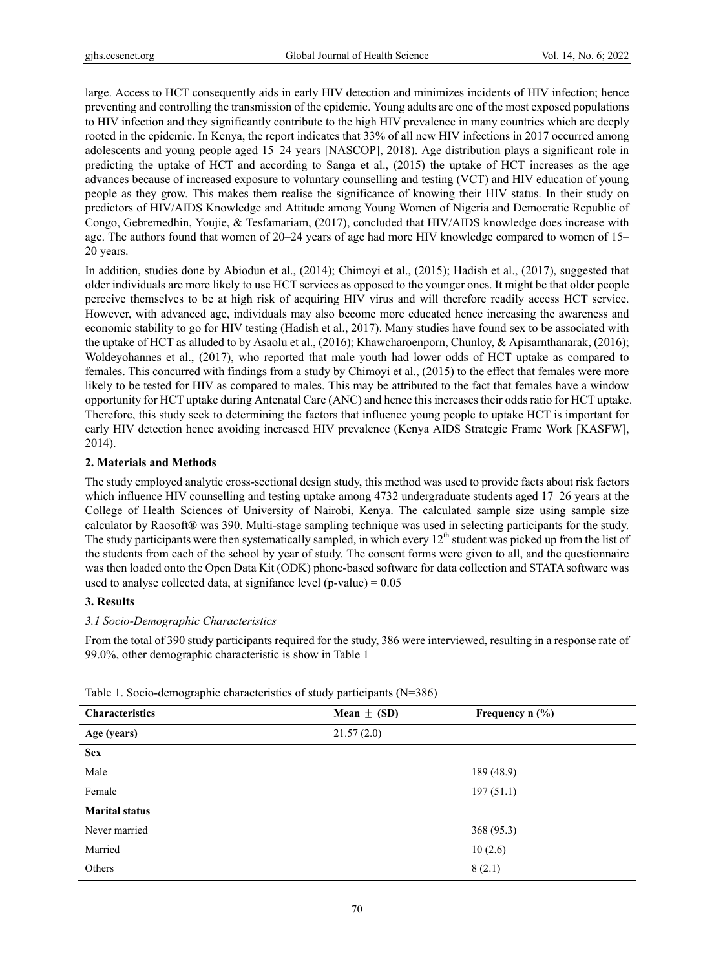large. Access to HCT consequently aids in early HIV detection and minimizes incidents of HIV infection; hence preventing and controlling the transmission of the epidemic. Young adults are one of the most exposed populations to HIV infection and they significantly contribute to the high HIV prevalence in many countries which are deeply rooted in the epidemic. In Kenya, the report indicates that 33% of all new HIV infections in 2017 occurred among adolescents and young people aged 15–24 years [NASCOP], 2018). Age distribution plays a significant role in predicting the uptake of HCT and according to Sanga et al., (2015) the uptake of HCT increases as the age advances because of increased exposure to voluntary counselling and testing (VCT) and HIV education of young people as they grow. This makes them realise the significance of knowing their HIV status. In their study on predictors of HIV/AIDS Knowledge and Attitude among Young Women of Nigeria and Democratic Republic of Congo, Gebremedhin, Youjie, & Tesfamariam, (2017), concluded that HIV/AIDS knowledge does increase with age. The authors found that women of 20–24 years of age had more HIV knowledge compared to women of 15– 20 years.

In addition, studies done by Abiodun et al., (2014); Chimoyi et al., (2015); Hadish et al., (2017), suggested that older individuals are more likely to use HCT services as opposed to the younger ones. It might be that older people perceive themselves to be at high risk of acquiring HIV virus and will therefore readily access HCT service. However, with advanced age, individuals may also become more educated hence increasing the awareness and economic stability to go for HIV testing (Hadish et al., 2017). Many studies have found sex to be associated with the uptake of HCT as alluded to by Asaolu et al., (2016); Khawcharoenporn, Chunloy, & Apisarnthanarak, (2016); Woldeyohannes et al., (2017), who reported that male youth had lower odds of HCT uptake as compared to females. This concurred with findings from a study by Chimoyi et al., (2015) to the effect that females were more likely to be tested for HIV as compared to males. This may be attributed to the fact that females have a window opportunity for HCT uptake during Antenatal Care (ANC) and hence this increases their odds ratio for HCT uptake. Therefore, this study seek to determining the factors that influence young people to uptake HCT is important for early HIV detection hence avoiding increased HIV prevalence (Kenya AIDS Strategic Frame Work [KASFW], 2014).

#### **2. Materials and Methods**

The study employed analytic cross-sectional design study, this method was used to provide facts about risk factors which influence HIV counselling and testing uptake among 4732 undergraduate students aged 17–26 years at the College of Health Sciences of University of Nairobi, Kenya. The calculated sample size using sample size calculator by Raosoft**®** was 390. Multi-stage sampling technique was used in selecting participants for the study. The study participants were then systematically sampled, in which every  $12<sup>th</sup>$  student was picked up from the list of the students from each of the school by year of study. The consent forms were given to all, and the questionnaire was then loaded onto the Open Data Kit (ODK) phone-based software for data collection and STATA software was used to analyse collected data, at signifance level (p-value)  $= 0.05$ 

# **3. Results**

#### *3.1 Socio-Demographic Characteristics*

From the total of 390 study participants required for the study, 386 were interviewed, resulting in a response rate of 99.0%, other demographic characteristic is show in Table 1

| <b>Characteristics</b> | Mean $\pm$ (SD) | Frequency $n$ (%) |
|------------------------|-----------------|-------------------|
| Age (years)            | 21.57(2.0)      |                   |
| <b>Sex</b>             |                 |                   |
| Male                   |                 | 189 (48.9)        |
| Female                 |                 | 197(51.1)         |
| <b>Marital status</b>  |                 |                   |
| Never married          |                 | 368 (95.3)        |
| Married                |                 | 10(2.6)           |
| Others                 |                 | 8(2.1)            |

Table 1. Socio-demographic characteristics of study participants (N=386)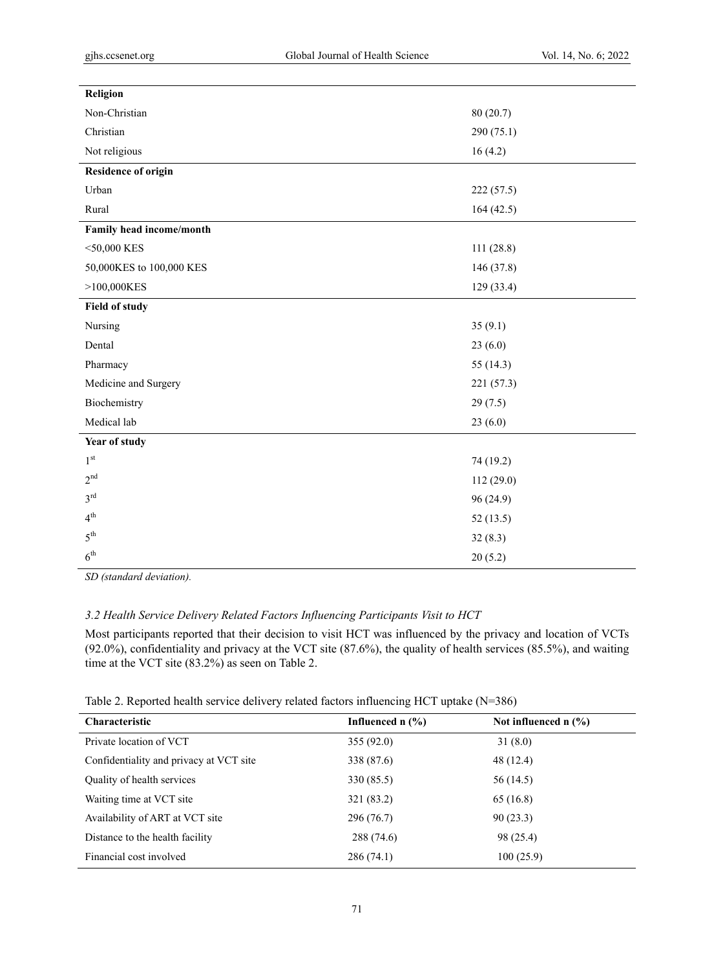| Religion                   |             |
|----------------------------|-------------|
| Non-Christian              | 80(20.7)    |
| Christian                  | 290 (75.1)  |
| Not religious              | 16(4.2)     |
| <b>Residence of origin</b> |             |
| Urban                      | 222 (57.5)  |
| Rural                      | 164 (42.5)  |
| Family head income/month   |             |
| $<$ 50,000 KES             | 111(28.8)   |
| 50,000KES to 100,000 KES   | 146 (37.8)  |
| >100,000KES                | 129 (33.4)  |
| <b>Field of study</b>      |             |
| Nursing                    | 35(9.1)     |
| Dental                     | 23(6.0)     |
| Pharmacy                   | 55 $(14.3)$ |
| Medicine and Surgery       | 221 (57.3)  |
| Biochemistry               | 29(7.5)     |
| Medical lab                | 23(6.0)     |
| Year of study              |             |
| $1^{\rm st}$               | 74 (19.2)   |
| 2 <sup>nd</sup>            | 112 (29.0)  |
| $3^{\text{rd}}$            | 96(24.9)    |
| 4 <sup>th</sup>            | 52(13.5)    |
| $5^{\text{th}}$            | 32(8.3)     |
| 6 <sup>th</sup>            | 20(5.2)     |
|                            |             |

*SD (standard deviation).* 

# *3.2 Health Service Delivery Related Factors Influencing Participants Visit to HCT*

Most participants reported that their decision to visit HCT was influenced by the privacy and location of VCTs (92.0%), confidentiality and privacy at the VCT site (87.6%), the quality of health services (85.5%), and waiting time at the VCT site (83.2%) as seen on Table 2.

| Table 2. Reported health service delivery related factors influencing HCT uptake (N=386) |  |  |  |
|------------------------------------------------------------------------------------------|--|--|--|
|------------------------------------------------------------------------------------------|--|--|--|

| <b>Characteristic</b>                   | Influenced $n$ $\left(\frac{9}{6}\right)$ | Not influenced $n$ (%) |
|-----------------------------------------|-------------------------------------------|------------------------|
| Private location of VCT                 | 355(92.0)                                 | 31(8.0)                |
| Confidentiality and privacy at VCT site | 338 (87.6)                                | 48 (12.4)              |
| Quality of health services              | 330 (85.5)                                | 56 (14.5)              |
| Waiting time at VCT site                | 321 (83.2)                                | 65(16.8)               |
| Availability of ART at VCT site         | 296 (76.7)                                | 90(23.3)               |
| Distance to the health facility         | 288 (74.6)                                | 98 (25.4)              |
| Financial cost involved                 | 286(74.1)                                 | 100(25.9)              |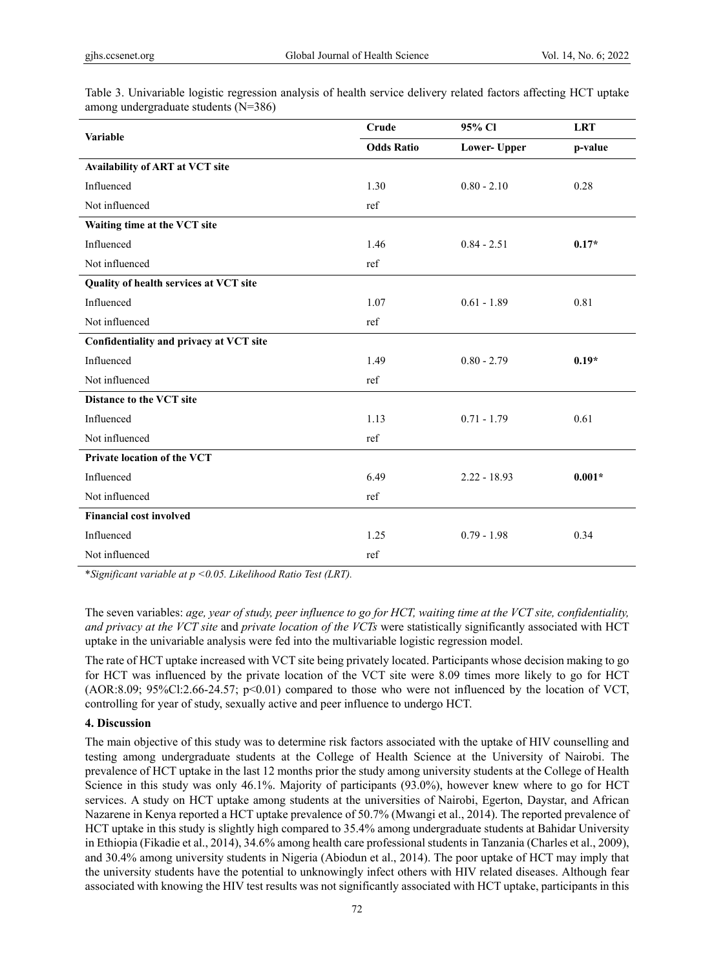| Variable                                | Crude             | 95% Cl              | <b>LRT</b> |
|-----------------------------------------|-------------------|---------------------|------------|
|                                         | <b>Odds Ratio</b> | <b>Lower-</b> Upper | p-value    |
| Availability of ART at VCT site         |                   |                     |            |
| Influenced                              | 1.30              | $0.80 - 2.10$       | 0.28       |
| Not influenced                          | ref               |                     |            |
| Waiting time at the VCT site            |                   |                     |            |
| Influenced                              | 1.46              | $0.84 - 2.51$       | $0.17*$    |
| Not influenced                          | ref               |                     |            |
| Quality of health services at VCT site  |                   |                     |            |
| Influenced                              | 1.07              | $0.61 - 1.89$       | 0.81       |
| Not influenced                          | ref               |                     |            |
| Confidentiality and privacy at VCT site |                   |                     |            |
| Influenced                              | 1.49              | $0.80 - 2.79$       | $0.19*$    |
| Not influenced                          | ref               |                     |            |
| Distance to the VCT site                |                   |                     |            |
| Influenced                              | 1.13              | $0.71 - 1.79$       | 0.61       |
| Not influenced                          | ref               |                     |            |
| <b>Private location of the VCT</b>      |                   |                     |            |
| Influenced                              | 6.49              | $2.22 - 18.93$      | $0.001*$   |
| Not influenced                          | ref               |                     |            |
| <b>Financial cost involved</b>          |                   |                     |            |
| Influenced                              | 1.25              | $0.79 - 1.98$       | 0.34       |
| Not influenced                          | ref               |                     |            |

Table 3. Univariable logistic regression analysis of health service delivery related factors affecting HCT uptake among undergraduate students (N=386)

\**Significant variable at p <0.05. Likelihood Ratio Test (LRT).* 

The seven variables: *age, year of study, peer influence to go for HCT, waiting time at the VCT site, confidentiality, and privacy at the VCT site* and *private location of the VCTs* were statistically significantly associated with HCT uptake in the univariable analysis were fed into the multivariable logistic regression model.

The rate of HCT uptake increased with VCT site being privately located. Participants whose decision making to go for HCT was influenced by the private location of the VCT site were 8.09 times more likely to go for HCT (AOR:8.09; 95%Cl:2.66-24.57; p<0.01) compared to those who were not influenced by the location of VCT, controlling for year of study, sexually active and peer influence to undergo HCT.

## **4. Discussion**

The main objective of this study was to determine risk factors associated with the uptake of HIV counselling and testing among undergraduate students at the College of Health Science at the University of Nairobi. The prevalence of HCT uptake in the last 12 months prior the study among university students at the College of Health Science in this study was only 46.1%. Majority of participants (93.0%), however knew where to go for HCT services. A study on HCT uptake among students at the universities of Nairobi, Egerton, Daystar, and African Nazarene in Kenya reported a HCT uptake prevalence of 50.7% (Mwangi et al., 2014). The reported prevalence of HCT uptake in this study is slightly high compared to 35.4% among undergraduate students at Bahidar University in Ethiopia (Fikadie et al., 2014), 34.6% among health care professional students in Tanzania (Charles et al., 2009), and 30.4% among university students in Nigeria (Abiodun et al., 2014). The poor uptake of HCT may imply that the university students have the potential to unknowingly infect others with HIV related diseases. Although fear associated with knowing the HIV test results was not significantly associated with HCT uptake, participants in this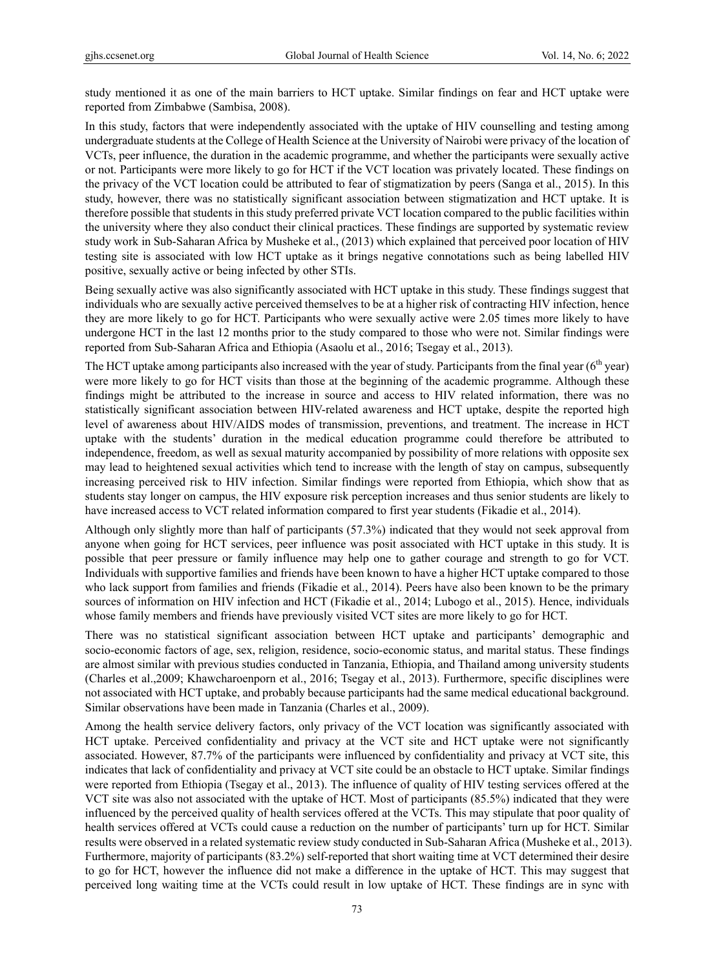study mentioned it as one of the main barriers to HCT uptake. Similar findings on fear and HCT uptake were reported from Zimbabwe (Sambisa, 2008).

In this study, factors that were independently associated with the uptake of HIV counselling and testing among undergraduate students at the College of Health Science at the University of Nairobi were privacy of the location of VCTs, peer influence, the duration in the academic programme, and whether the participants were sexually active or not. Participants were more likely to go for HCT if the VCT location was privately located. These findings on the privacy of the VCT location could be attributed to fear of stigmatization by peers (Sanga et al., 2015). In this study, however, there was no statistically significant association between stigmatization and HCT uptake. It is therefore possible that students in this study preferred private VCT location compared to the public facilities within the university where they also conduct their clinical practices. These findings are supported by systematic review study work in Sub-Saharan Africa by Musheke et al., (2013) which explained that perceived poor location of HIV testing site is associated with low HCT uptake as it brings negative connotations such as being labelled HIV positive, sexually active or being infected by other STIs.

Being sexually active was also significantly associated with HCT uptake in this study. These findings suggest that individuals who are sexually active perceived themselves to be at a higher risk of contracting HIV infection, hence they are more likely to go for HCT. Participants who were sexually active were 2.05 times more likely to have undergone HCT in the last 12 months prior to the study compared to those who were not. Similar findings were reported from Sub-Saharan Africa and Ethiopia (Asaolu et al., 2016; Tsegay et al., 2013).

The HCT uptake among participants also increased with the year of study. Participants from the final year (6<sup>th</sup> year) were more likely to go for HCT visits than those at the beginning of the academic programme. Although these findings might be attributed to the increase in source and access to HIV related information, there was no statistically significant association between HIV-related awareness and HCT uptake, despite the reported high level of awareness about HIV/AIDS modes of transmission, preventions, and treatment. The increase in HCT uptake with the students' duration in the medical education programme could therefore be attributed to independence, freedom, as well as sexual maturity accompanied by possibility of more relations with opposite sex may lead to heightened sexual activities which tend to increase with the length of stay on campus, subsequently increasing perceived risk to HIV infection. Similar findings were reported from Ethiopia, which show that as students stay longer on campus, the HIV exposure risk perception increases and thus senior students are likely to have increased access to VCT related information compared to first year students (Fikadie et al., 2014).

Although only slightly more than half of participants (57.3%) indicated that they would not seek approval from anyone when going for HCT services, peer influence was posit associated with HCT uptake in this study. It is possible that peer pressure or family influence may help one to gather courage and strength to go for VCT. Individuals with supportive families and friends have been known to have a higher HCT uptake compared to those who lack support from families and friends (Fikadie et al., 2014). Peers have also been known to be the primary sources of information on HIV infection and HCT (Fikadie et al., 2014; Lubogo et al., 2015). Hence, individuals whose family members and friends have previously visited VCT sites are more likely to go for HCT.

There was no statistical significant association between HCT uptake and participants' demographic and socio-economic factors of age, sex, religion, residence, socio-economic status, and marital status. These findings are almost similar with previous studies conducted in Tanzania, Ethiopia, and Thailand among university students (Charles et al.,2009; Khawcharoenporn et al., 2016; Tsegay et al., 2013). Furthermore, specific disciplines were not associated with HCT uptake, and probably because participants had the same medical educational background. Similar observations have been made in Tanzania (Charles et al., 2009).

Among the health service delivery factors, only privacy of the VCT location was significantly associated with HCT uptake. Perceived confidentiality and privacy at the VCT site and HCT uptake were not significantly associated. However, 87.7% of the participants were influenced by confidentiality and privacy at VCT site, this indicates that lack of confidentiality and privacy at VCT site could be an obstacle to HCT uptake. Similar findings were reported from Ethiopia (Tsegay et al., 2013). The influence of quality of HIV testing services offered at the VCT site was also not associated with the uptake of HCT. Most of participants (85.5%) indicated that they were influenced by the perceived quality of health services offered at the VCTs. This may stipulate that poor quality of health services offered at VCTs could cause a reduction on the number of participants' turn up for HCT. Similar results were observed in a related systematic review study conducted in Sub-Saharan Africa (Musheke et al., 2013). Furthermore, majority of participants (83.2%) self-reported that short waiting time at VCT determined their desire to go for HCT, however the influence did not make a difference in the uptake of HCT. This may suggest that perceived long waiting time at the VCTs could result in low uptake of HCT. These findings are in sync with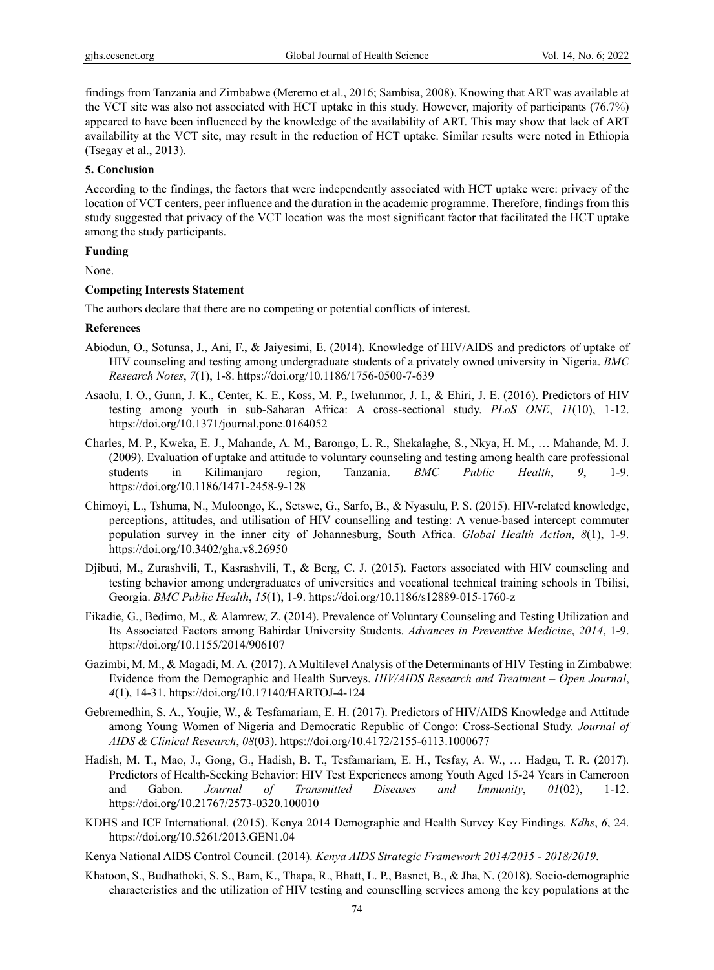findings from Tanzania and Zimbabwe (Meremo et al., 2016; Sambisa, 2008). Knowing that ART was available at the VCT site was also not associated with HCT uptake in this study. However, majority of participants (76.7%) appeared to have been influenced by the knowledge of the availability of ART. This may show that lack of ART availability at the VCT site, may result in the reduction of HCT uptake. Similar results were noted in Ethiopia (Tsegay et al., 2013).

#### **5. Conclusion**

According to the findings, the factors that were independently associated with HCT uptake were: privacy of the location of VCT centers, peer influence and the duration in the academic programme. Therefore, findings from this study suggested that privacy of the VCT location was the most significant factor that facilitated the HCT uptake among the study participants.

# **Funding**

None.

#### **Competing Interests Statement**

The authors declare that there are no competing or potential conflicts of interest.

#### **References**

- Abiodun, O., Sotunsa, J., Ani, F., & Jaiyesimi, E. (2014). Knowledge of HIV/AIDS and predictors of uptake of HIV counseling and testing among undergraduate students of a privately owned university in Nigeria. *BMC Research Notes*, *7*(1), 1-8. https://doi.org/10.1186/1756-0500-7-639
- Asaolu, I. O., Gunn, J. K., Center, K. E., Koss, M. P., Iwelunmor, J. I., & Ehiri, J. E. (2016). Predictors of HIV testing among youth in sub-Saharan Africa: A cross-sectional study. *PLoS ONE*, *11*(10), 1-12. https://doi.org/10.1371/journal.pone.0164052
- Charles, M. P., Kweka, E. J., Mahande, A. M., Barongo, L. R., Shekalaghe, S., Nkya, H. M., … Mahande, M. J. (2009). Evaluation of uptake and attitude to voluntary counseling and testing among health care professional students in Kilimanjaro region, Tanzania. *BMC Public Health*, *9*, 1-9. https://doi.org/10.1186/1471-2458-9-128
- Chimoyi, L., Tshuma, N., Muloongo, K., Setswe, G., Sarfo, B., & Nyasulu, P. S. (2015). HIV-related knowledge, perceptions, attitudes, and utilisation of HIV counselling and testing: A venue-based intercept commuter population survey in the inner city of Johannesburg, South Africa. *Global Health Action*, *8*(1), 1-9. https://doi.org/10.3402/gha.v8.26950
- Djibuti, M., Zurashvili, T., Kasrashvili, T., & Berg, C. J. (2015). Factors associated with HIV counseling and testing behavior among undergraduates of universities and vocational technical training schools in Tbilisi, Georgia. *BMC Public Health*, *15*(1), 1-9. https://doi.org/10.1186/s12889-015-1760-z
- Fikadie, G., Bedimo, M., & Alamrew, Z. (2014). Prevalence of Voluntary Counseling and Testing Utilization and Its Associated Factors among Bahirdar University Students. *Advances in Preventive Medicine*, *2014*, 1-9. https://doi.org/10.1155/2014/906107
- Gazimbi, M. M., & Magadi, M. A. (2017). A Multilevel Analysis of the Determinants of HIV Testing in Zimbabwe: Evidence from the Demographic and Health Surveys. *HIV/AIDS Research and Treatment – Open Journal*, *4*(1), 14-31. https://doi.org/10.17140/HARTOJ-4-124
- Gebremedhin, S. A., Youjie, W., & Tesfamariam, E. H. (2017). Predictors of HIV/AIDS Knowledge and Attitude among Young Women of Nigeria and Democratic Republic of Congo: Cross-Sectional Study. *Journal of AIDS & Clinical Research*, *08*(03). https://doi.org/10.4172/2155-6113.1000677
- Hadish, M. T., Mao, J., Gong, G., Hadish, B. T., Tesfamariam, E. H., Tesfay, A. W., … Hadgu, T. R. (2017). Predictors of Health-Seeking Behavior: HIV Test Experiences among Youth Aged 15-24 Years in Cameroon and Gabon. *Journal of Transmitted Diseases and Immunity*, *01*(02), 1-12. https://doi.org/10.21767/2573-0320.100010
- KDHS and ICF International. (2015). Kenya 2014 Demographic and Health Survey Key Findings. *Kdhs*, *6*, 24. https://doi.org/10.5261/2013.GEN1.04
- Kenya National AIDS Control Council. (2014). *Kenya AIDS Strategic Framework 2014/2015 2018/2019*.
- Khatoon, S., Budhathoki, S. S., Bam, K., Thapa, R., Bhatt, L. P., Basnet, B., & Jha, N. (2018). Socio-demographic characteristics and the utilization of HIV testing and counselling services among the key populations at the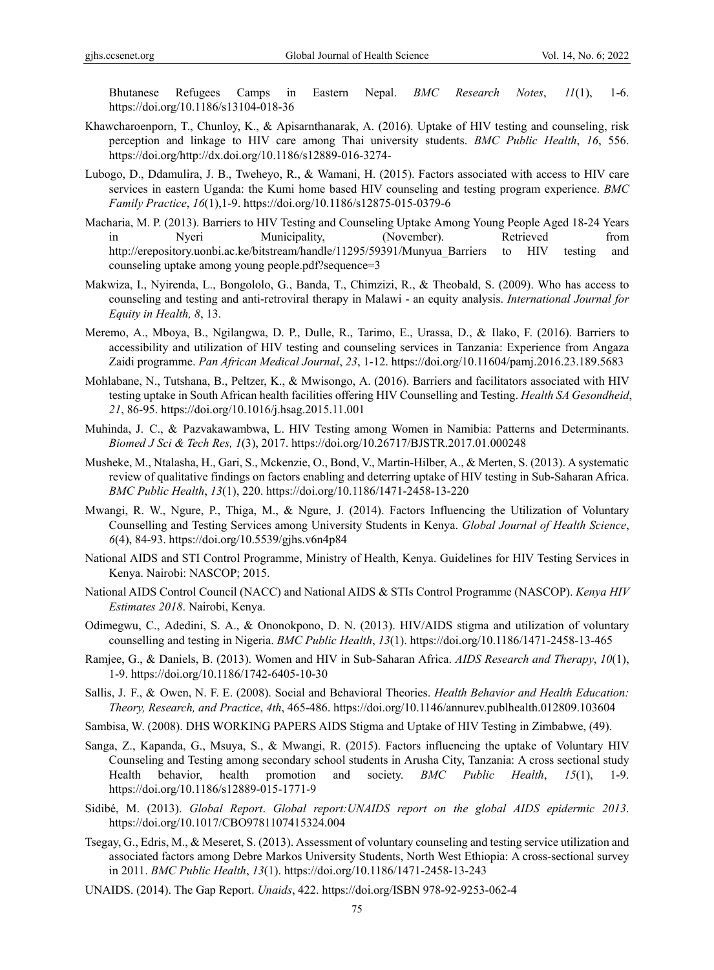Bhutanese Refugees Camps in Eastern Nepal. *BMC Research Notes*, *11*(1), 1-6. https://doi.org/10.1186/s13104-018-36

- Khawcharoenporn, T., Chunloy, K., & Apisarnthanarak, A. (2016). Uptake of HIV testing and counseling, risk perception and linkage to HIV care among Thai university students. *BMC Public Health*, *16*, 556. https://doi.org/http://dx.doi.org/10.1186/s12889-016-3274-
- Lubogo, D., Ddamulira, J. B., Tweheyo, R., & Wamani, H. (2015). Factors associated with access to HIV care services in eastern Uganda: the Kumi home based HIV counseling and testing program experience. *BMC Family Practice*, *16*(1),1-9. https://doi.org/10.1186/s12875-015-0379-6
- Macharia, M. P. (2013). Barriers to HIV Testing and Counseling Uptake Among Young People Aged 18-24 Years in Nyeri Municipality, (November). Retrieved from http://erepository.uonbi.ac.ke/bitstream/handle/11295/59391/Munyua\_Barriers to HIV testing and counseling uptake among young people.pdf?sequence=3
- Makwiza, I., Nyirenda, L., Bongololo, G., Banda, T., Chimzizi, R., & Theobald, S. (2009). Who has access to counseling and testing and anti-retroviral therapy in Malawi - an equity analysis. *International Journal for Equity in Health, 8*, 13.
- Meremo, A., Mboya, B., Ngilangwa, D. P., Dulle, R., Tarimo, E., Urassa, D., & Ilako, F. (2016). Barriers to accessibility and utilization of HIV testing and counseling services in Tanzania: Experience from Angaza Zaidi programme. *Pan African Medical Journal*, *23*, 1-12. https://doi.org/10.11604/pamj.2016.23.189.5683
- Mohlabane, N., Tutshana, B., Peltzer, K., & Mwisongo, A. (2016). Barriers and facilitators associated with HIV testing uptake in South African health facilities offering HIV Counselling and Testing. *Health SA Gesondheid*, *21*, 86-95. https://doi.org/10.1016/j.hsag.2015.11.001
- Muhinda, J. C., & Pazvakawambwa, L. HIV Testing among Women in Namibia: Patterns and Determinants. *Biomed J Sci & Tech Res, 1*(3), 2017. https://doi.org/10.26717/BJSTR.2017.01.000248
- Musheke, M., Ntalasha, H., Gari, S., Mckenzie, O., Bond, V., Martin-Hilber, A., & Merten, S. (2013). A systematic review of qualitative findings on factors enabling and deterring uptake of HIV testing in Sub-Saharan Africa. *BMC Public Health*, *13*(1), 220. https://doi.org/10.1186/1471-2458-13-220
- Mwangi, R. W., Ngure, P., Thiga, M., & Ngure, J. (2014). Factors Influencing the Utilization of Voluntary Counselling and Testing Services among University Students in Kenya. *Global Journal of Health Science*, *6*(4), 84-93. https://doi.org/10.5539/gjhs.v6n4p84
- National AIDS and STI Control Programme, Ministry of Health, Kenya. Guidelines for HIV Testing Services in Kenya. Nairobi: NASCOP; 2015.
- National AIDS Control Council (NACC) and National AIDS & STIs Control Programme (NASCOP). *Kenya HIV Estimates 2018*. Nairobi, Kenya.
- Odimegwu, C., Adedini, S. A., & Ononokpono, D. N. (2013). HIV/AIDS stigma and utilization of voluntary counselling and testing in Nigeria. *BMC Public Health*, *13*(1). https://doi.org/10.1186/1471-2458-13-465
- Ramjee, G., & Daniels, B. (2013). Women and HIV in Sub-Saharan Africa. *AIDS Research and Therapy*, *10*(1), 1-9. https://doi.org/10.1186/1742-6405-10-30
- Sallis, J. F., & Owen, N. F. E. (2008). Social and Behavioral Theories. *Health Behavior and Health Education: Theory, Research, and Practice*, *4th*, 465-486. https://doi.org/10.1146/annurev.publhealth.012809.103604
- Sambisa, W. (2008). DHS WORKING PAPERS AIDS Stigma and Uptake of HIV Testing in Zimbabwe, (49).
- Sanga, Z., Kapanda, G., Msuya, S., & Mwangi, R. (2015). Factors influencing the uptake of Voluntary HIV Counseling and Testing among secondary school students in Arusha City, Tanzania: A cross sectional study Health behavior, health promotion and society. *BMC Public Health*, *15*(1), 1-9. https://doi.org/10.1186/s12889-015-1771-9
- Sidibé, M. (2013). *Global Report*. *Global report:UNAIDS report on the global AIDS epidermic 2013*. https://doi.org/10.1017/CBO9781107415324.004
- Tsegay, G., Edris, M., & Meseret, S. (2013). Assessment of voluntary counseling and testing service utilization and associated factors among Debre Markos University Students, North West Ethiopia: A cross-sectional survey in 2011. *BMC Public Health*, *13*(1). https://doi.org/10.1186/1471-2458-13-243
- UNAIDS. (2014). The Gap Report. *Unaids*, 422. https://doi.org/ISBN 978-92-9253-062-4